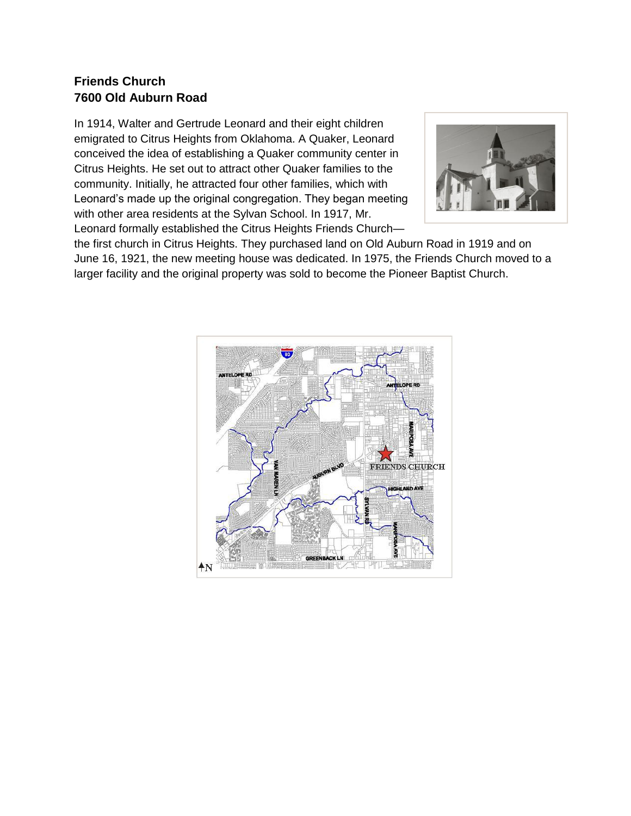### **Friends Church 7600 Old Auburn Road**

In 1914, Walter and Gertrude Leonard and their eight children emigrated to Citrus Heights from Oklahoma. A Quaker, Leonard conceived the idea of establishing a Quaker community center in Citrus Heights. He set out to attract other Quaker families to the community. Initially, he attracted four other families, which with Leonard's made up the original congregation. They began meeting with other area residents at the Sylvan School. In 1917, Mr. Leonard formally established the Citrus Heights Friends Church—



the first church in Citrus Heights. They purchased land on Old Auburn Road in 1919 and on June 16, 1921, the new meeting house was dedicated. In 1975, the Friends Church moved to a larger facility and the original property was sold to become the Pioneer Baptist Church.

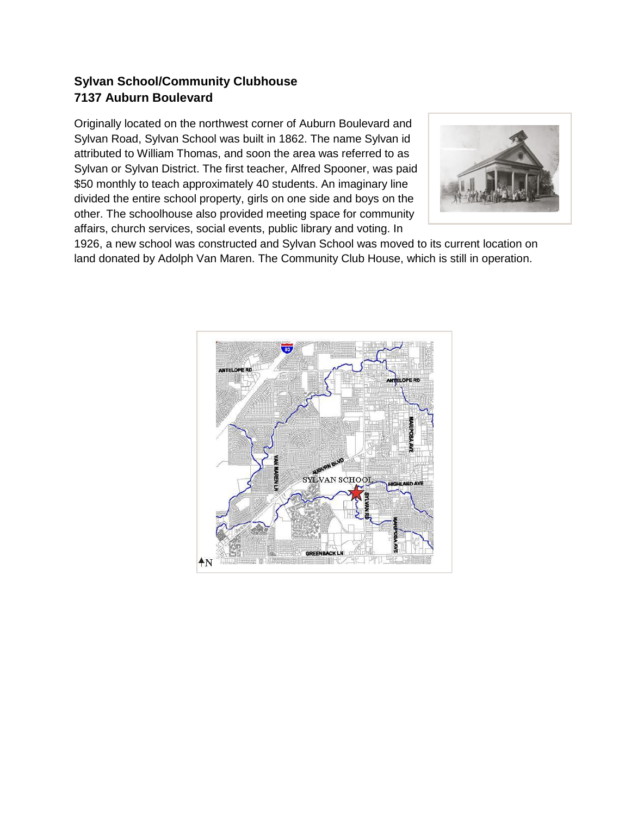## **Sylvan School/Community Clubhouse 7137 Auburn Boulevard**

Originally located on the northwest corner of Auburn Boulevard and Sylvan Road, Sylvan School was built in 1862. The name Sylvan id attributed to William Thomas, and soon the area was referred to as Sylvan or Sylvan District. The first teacher, Alfred Spooner, was paid \$50 monthly to teach approximately 40 students. An imaginary line divided the entire school property, girls on one side and boys on the other. The schoolhouse also provided meeting space for community affairs, church services, social events, public library and voting. In



1926, a new school was constructed and Sylvan School was moved to its current location on land donated by Adolph Van Maren. The Community Club House, which is still in operation.

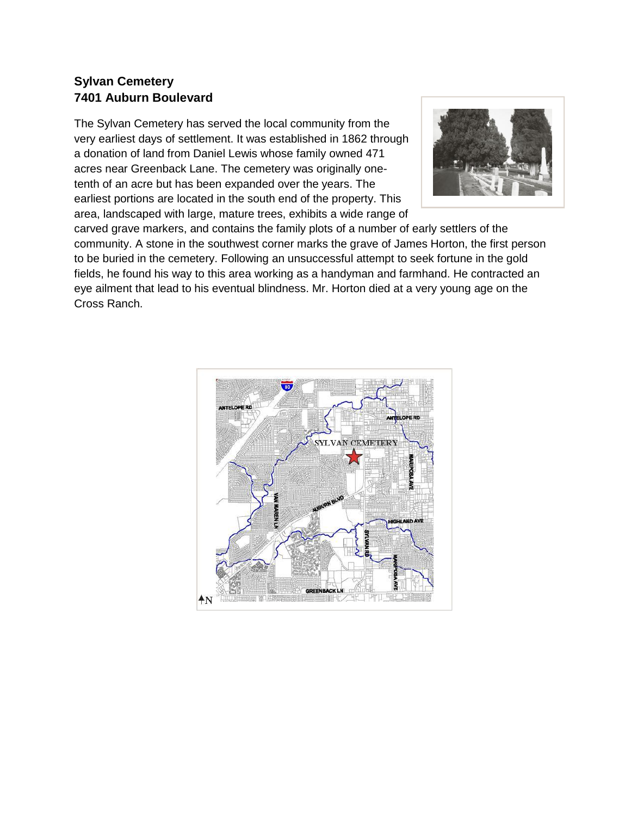### **Sylvan Cemetery 7401 Auburn Boulevard**

The Sylvan Cemetery has served the local community from the very earliest days of settlement. It was established in 1862 through a donation of land from Daniel Lewis whose family owned 471 acres near Greenback Lane. The cemetery was originally onetenth of an acre but has been expanded over the years. The earliest portions are located in the south end of the property. This area, landscaped with large, mature trees, exhibits a wide range of



carved grave markers, and contains the family plots of a number of early settlers of the community. A stone in the southwest corner marks the grave of James Horton, the first person to be buried in the cemetery. Following an unsuccessful attempt to seek fortune in the gold fields, he found his way to this area working as a handyman and farmhand. He contracted an eye ailment that lead to his eventual blindness. Mr. Horton died at a very young age on the Cross Ranch.

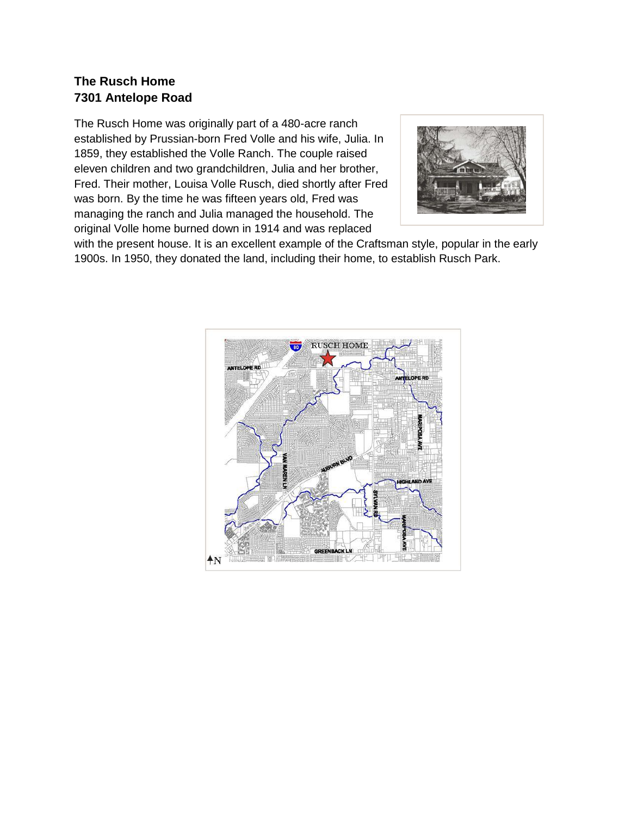## **The Rusch Home 7301 Antelope Road**

The Rusch Home was originally part of a 480-acre ranch established by Prussian-born Fred Volle and his wife, Julia. In 1859, they established the Volle Ranch. The couple raised eleven children and two grandchildren, Julia and her brother, Fred. Their mother, Louisa Volle Rusch, died shortly after Fred was born. By the time he was fifteen years old, Fred was managing the ranch and Julia managed the household. The original Volle home burned down in 1914 and was replaced



with the present house. It is an excellent example of the Craftsman style, popular in the early 1900s. In 1950, they donated the land, including their home, to establish Rusch Park.

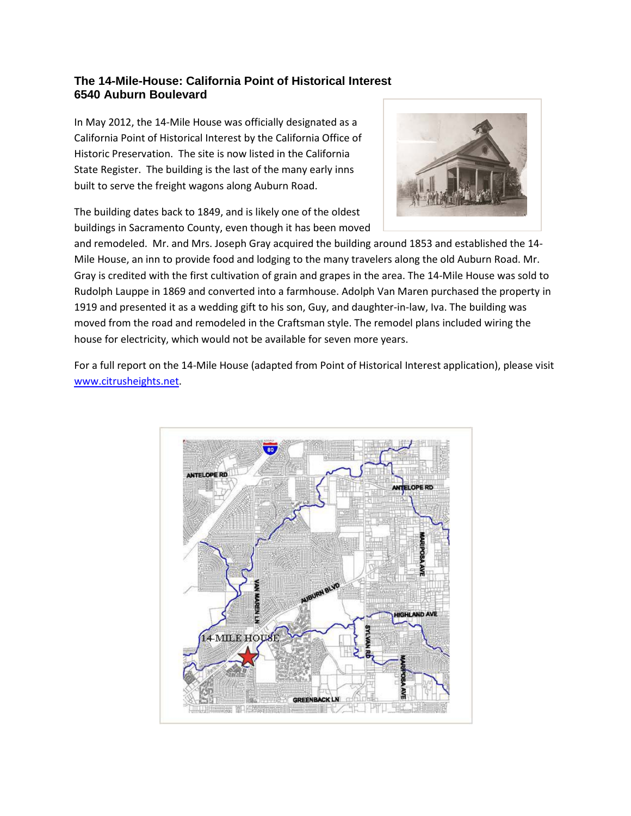#### **The 14-Mile-House: California Point of Historical Interest 6540 Auburn Boulevard**

In May 2012, the 14-Mile House was officially designated as a California Point of Historical Interest by the California Office of Historic Preservation. The site is now listed in the California State Register. The building is the last of the many early inns built to serve the freight wagons along Auburn Road.

The building dates back to 1849, and is likely one of the oldest buildings in Sacramento County, even though it has been moved



and remodeled. Mr. and Mrs. Joseph Gray acquired the building around 1853 and established the 14- Mile House, an inn to provide food and lodging to the many travelers along the old Auburn Road. Mr. Gray is credited with the first cultivation of grain and grapes in the area. The 14-Mile House was sold to Rudolph Lauppe in 1869 and converted into a farmhouse. Adolph Van Maren purchased the property in 1919 and presented it as a wedding gift to his son, Guy, and daughter-in-law, Iva. The building was moved from the road and remodeled in the Craftsman style. The remodel plans included wiring the house for electricity, which would not be available for seven more years.

For a full report on the 14-Mile House (adapted from Point of Historical Interest application), please visit www.citrusheights.net.